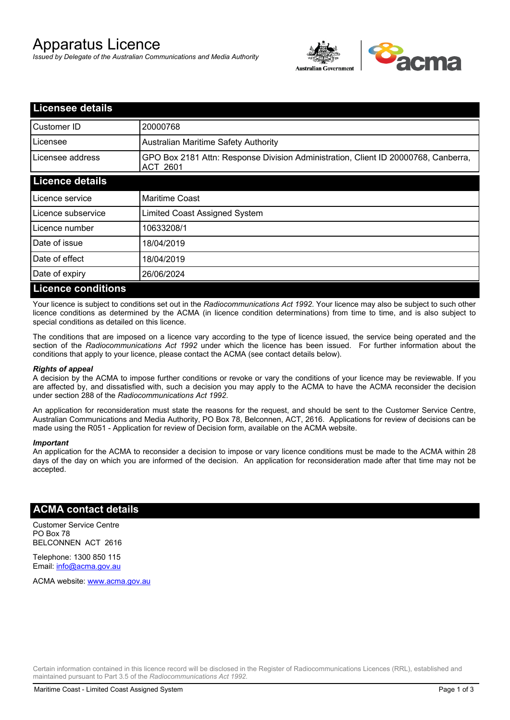# Apparatus Licence

*Issued by Delegate of the Australian Communications and Media Authority*



| <b>Licensee details</b>   |                                                                                                       |
|---------------------------|-------------------------------------------------------------------------------------------------------|
| Customer ID               | 20000768                                                                                              |
| Licensee                  | <b>Australian Maritime Safety Authority</b>                                                           |
| Licensee address          | GPO Box 2181 Attn: Response Division Administration, Client ID 20000768, Canberra,<br><b>ACT 2601</b> |
| <b>Licence details</b>    |                                                                                                       |
| Licence service           | <b>Maritime Coast</b>                                                                                 |
| Licence subservice        | Limited Coast Assigned System                                                                         |
| Licence number            | 10633208/1                                                                                            |
| Date of issue             | 18/04/2019                                                                                            |
| Date of effect            | 18/04/2019                                                                                            |
| Date of expiry            | 26/06/2024                                                                                            |
| <b>Licence conditions</b> |                                                                                                       |

Your licence is subject to conditions set out in the *Radiocommunications Act 1992*. Your licence may also be subject to such other licence conditions as determined by the ACMA (in licence condition determinations) from time to time, and is also subject to special conditions as detailed on this licence.

The conditions that are imposed on a licence vary according to the type of licence issued, the service being operated and the section of the *Radiocommunications Act 1992* under which the licence has been issued. For further information about the conditions that apply to your licence, please contact the ACMA (see contact details below).

#### *Rights of appeal*

A decision by the ACMA to impose further conditions or revoke or vary the conditions of your licence may be reviewable. If you are affected by, and dissatisfied with, such a decision you may apply to the ACMA to have the ACMA reconsider the decision under section 288 of the *Radiocommunications Act 1992*.

An application for reconsideration must state the reasons for the request, and should be sent to the Customer Service Centre, Australian Communications and Media Authority, PO Box 78, Belconnen, ACT, 2616. Applications for review of decisions can be made using the R051 - Application for review of Decision form, available on the ACMA website.

#### *Important*

An application for the ACMA to reconsider a decision to impose or vary licence conditions must be made to the ACMA within 28 days of the day on which you are informed of the decision. An application for reconsideration made after that time may not be accepted.

### **ACMA contact details**

Customer Service Centre PO Box 78 BELCONNEN ACT 2616

Telephone: 1300 850 115 Email: info@acma.gov.au

ACMA website: www.acma.gov.au

Certain information contained in this licence record will be disclosed in the Register of Radiocommunications Licences (RRL), established and maintained pursuant to Part 3.5 of the *Radiocommunications Act 1992.*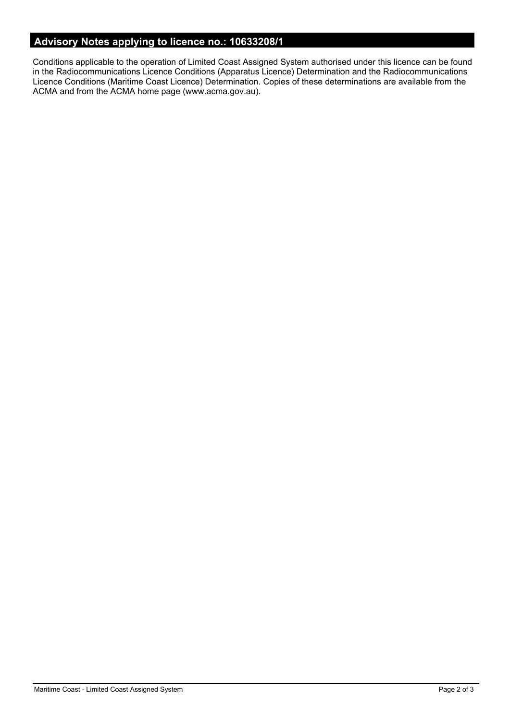# **Advisory Notes applying to licence no.: 10633208/1**

Conditions applicable to the operation of Limited Coast Assigned System authorised under this licence can be found in the Radiocommunications Licence Conditions (Apparatus Licence) Determination and the Radiocommunications Licence Conditions (Maritime Coast Licence) Determination. Copies of these determinations are available from the ACMA and from the ACMA home page (www.acma.gov.au).